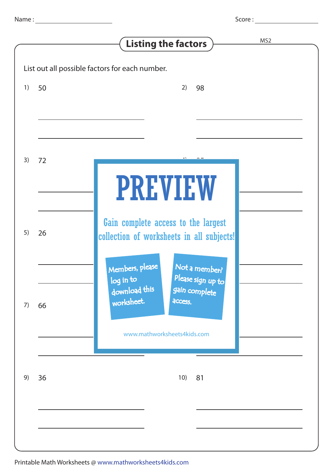Score :

|    |    | MS <sub>2</sub><br><b>Listing the factors</b>                                                        |
|----|----|------------------------------------------------------------------------------------------------------|
|    |    | List out all possible factors for each number.                                                       |
| 1) | 50 | 2)<br>98                                                                                             |
|    |    |                                                                                                      |
|    |    |                                                                                                      |
| 3) | 72 |                                                                                                      |
|    |    | <b>PREVIEW</b>                                                                                       |
|    |    |                                                                                                      |
| 5) | 26 | Gain complete access to the largest<br>collection of worksheets in all subjects!                     |
|    |    |                                                                                                      |
|    |    | Members, please<br>Not a member?<br>Please sign up to<br>log in to<br>download this<br>gain complete |
| 7) | 66 | worksheet.<br>access.                                                                                |
|    |    | www.mathworksheets4kids.com                                                                          |
|    |    |                                                                                                      |
| 9) | 36 | 10)<br>81                                                                                            |
|    |    |                                                                                                      |
|    |    |                                                                                                      |
|    |    |                                                                                                      |